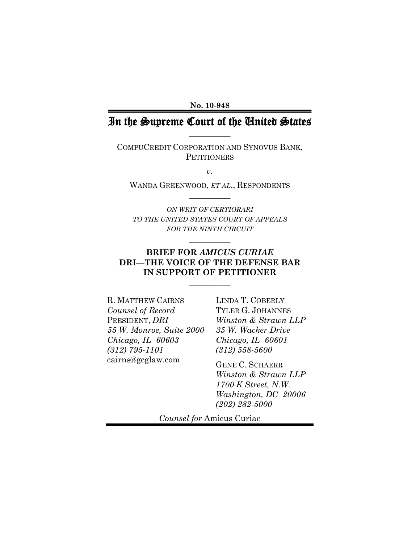**No. 10-948**

# In the Supreme Court of the United States **\_\_\_\_\_\_\_\_\_\_**

COMPUCREDIT CORPORATION AND SYNOVUS BANK, **PETITIONERS** 

*v.* 

WANDA GREENWOOD, *ET AL*., RESPONDENTS **\_\_\_\_\_\_\_\_\_\_** 

*ON WRIT OF CERTIORARI TO THE UNITED STATES COURT OF APPEALS FOR THE NINTH CIRCUIT*

**\_\_\_\_\_\_\_\_\_\_** 

# **BRIEF FOR** *AMICUS CURIAE*  **DRI—THE VOICE OF THE DEFENSE BAR IN SUPPORT OF PETITIONER**

**\_\_\_\_\_\_\_\_\_\_** 

R. MATTHEW CAIRNS *Counsel of Record* PRESIDENT, *DRI 55 W. Monroe, Suite 2000 Chicago, IL 60603 (312) 795-1101*  cairns@gcglaw.com

LINDA T. COBERLY TYLER G. JOHANNES *Winston & Strawn LLP 35 W. Wacker Drive Chicago, IL 60601 (312) 558-5600* 

GENE C. SCHAERR *Winston & Strawn LLP 1700 K Street, N.W. Washington, DC 20006 (202) 282-5000* 

*Counsel for* Amicus Curiae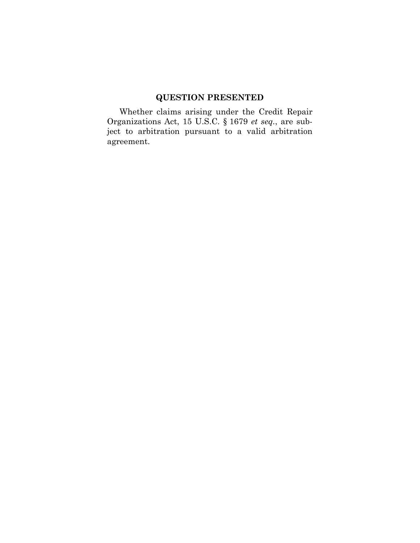# **QUESTION PRESENTED**

Whether claims arising under the Credit Repair Organizations Act, 15 U.S.C. § 1679 *et seq.*, are subject to arbitration pursuant to a valid arbitration agreement.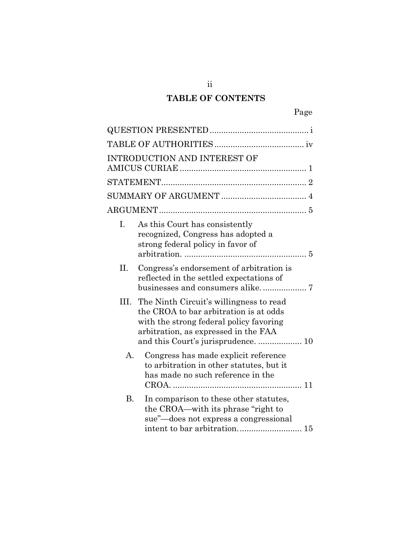# **TABLE OF CONTENTS**

|           | <b>INTRODUCTION AND INTEREST OF</b>                                                                                                                                  |
|-----------|----------------------------------------------------------------------------------------------------------------------------------------------------------------------|
|           |                                                                                                                                                                      |
|           |                                                                                                                                                                      |
|           |                                                                                                                                                                      |
|           |                                                                                                                                                                      |
| Ι.        | As this Court has consistently<br>recognized, Congress has adopted a<br>strong federal policy in favor of                                                            |
| II.       | Congress's endorsement of arbitration is<br>reflected in the settled expectations of                                                                                 |
| III.      | The Ninth Circuit's willingness to read<br>the CROA to bar arbitration is at odds<br>with the strong federal policy favoring<br>arbitration, as expressed in the FAA |
| А.        | Congress has made explicit reference<br>to arbitration in other statutes, but it<br>has made no such reference in the                                                |
| <b>B.</b> | In comparison to these other statutes,<br>the CROA—with its phrase "right to<br>sue"—does not express a congressional                                                |

ii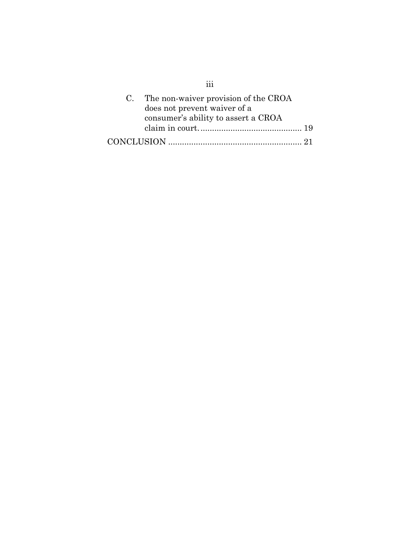| C. The non-waiver provision of the CROA |  |
|-----------------------------------------|--|
| does not prevent waiver of a            |  |
| consumer's ability to assert a CROA     |  |
|                                         |  |
|                                         |  |

iii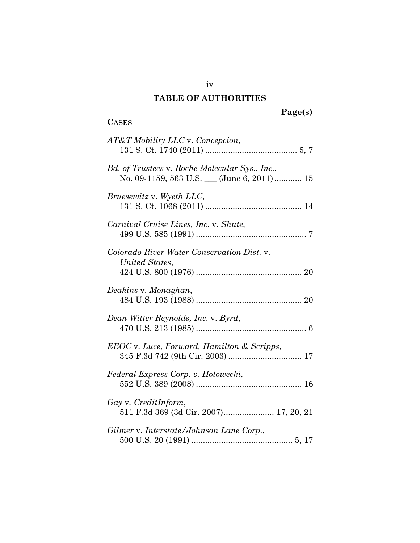# **TABLE OF AUTHORITIES**

**CASES**

# **Page(s)**

| AT&T Mobility LLC v. Concepcion,                                                          |
|-------------------------------------------------------------------------------------------|
| Bd. of Trustees v. Roche Molecular Sys., Inc.,<br>No. 09-1159, 563 U.S. (June 6, 2011) 15 |
| <i>Bruesewitz v. Wyeth LLC,</i>                                                           |
| Carnival Cruise Lines, Inc. v. Shute,                                                     |
| Colorado River Water Conservation Dist. v.<br>United States,                              |
| Deakins v. Monaghan,                                                                      |
| Dean Witter Reynolds, Inc. v. Byrd,                                                       |
| EEOC v. Luce, Forward, Hamilton & Scripps,                                                |
| Federal Express Corp. v. Holowecki,                                                       |
| Gay v. CreditInform,<br>511 F.3d 369 (3d Cir. 2007) 17, 20, 21                            |
| Gilmer v. Interstate/Johnson Lane Corp.,                                                  |

iv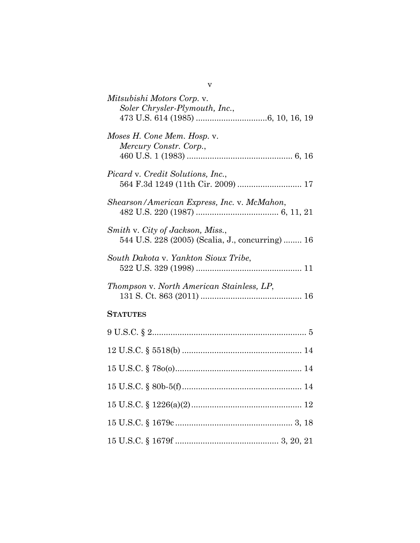| Mitsubishi Motors Corp. v.<br>Soler Chrysler-Plymouth, Inc.,                        |
|-------------------------------------------------------------------------------------|
| Moses H. Cone Mem. Hosp. v.<br>Mercury Constr. Corp.,                               |
| Picard v. Credit Solutions, Inc.,<br>564 F.3d 1249 (11th Cir. 2009)  17             |
| Shearson/American Express, Inc. v. McMahon,                                         |
| Smith v. City of Jackson, Miss.,<br>544 U.S. 228 (2005) (Scalia, J., concurring) 16 |
| South Dakota v. Yankton Sioux Tribe,                                                |
| Thompson v. North American Stainless, LP,                                           |
| <b>STATUTES</b>                                                                     |
|                                                                                     |
|                                                                                     |
|                                                                                     |
|                                                                                     |
|                                                                                     |
|                                                                                     |
|                                                                                     |

v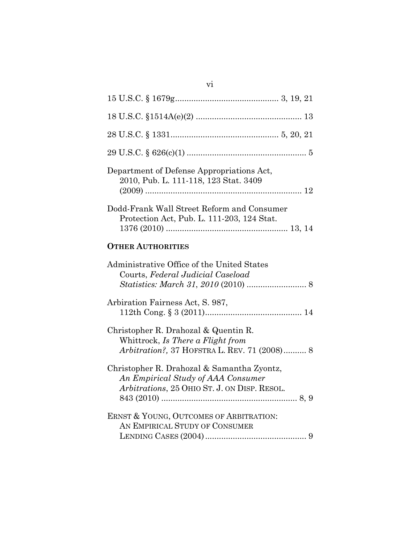| Department of Defense Appropriations Act,<br>2010, Pub. L. 111-118, 123 Stat. 3409                                               |
|----------------------------------------------------------------------------------------------------------------------------------|
| Dodd-Frank Wall Street Reform and Consumer<br>Protection Act, Pub. L. 111-203, 124 Stat.                                         |
| <b>OTHER AUTHORITIES</b>                                                                                                         |
| Administrative Office of the United States<br>Courts, Federal Judicial Caseload                                                  |
| Arbiration Fairness Act, S. 987,                                                                                                 |
| Christopher R. Drahozal & Quentin R.<br>Whittrock, Is There a Flight from<br>Arbitration?, 37 HOFSTRA L. REV. 71 (2008) 8        |
| Christopher R. Drahozal & Samantha Zyontz,<br>An Empirical Study of AAA Consumer<br>Arbitrations, 25 OHIO ST. J. ON DISP. RESOL. |
| ERNST & YOUNG, OUTCOMES OF ARBITRATION:<br>AN EMPIRICAL STUDY OF CONSUMER                                                        |

vi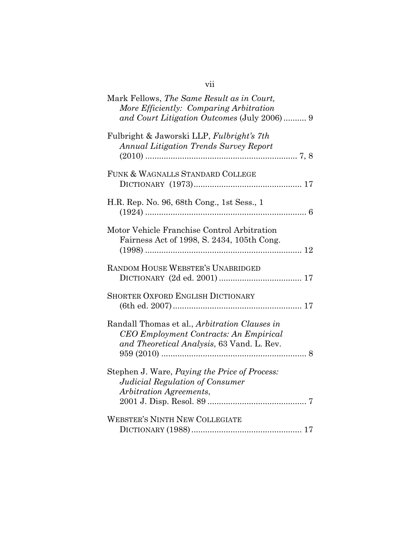| Mark Fellows, The Same Result as in Court,<br>More Efficiently: Comparing Arbitration<br>and Court Litigation Outcomes (July 2006) 9  |
|---------------------------------------------------------------------------------------------------------------------------------------|
| Fulbright & Jaworski LLP, Fulbright's 7th<br><b>Annual Litigation Trends Survey Report</b>                                            |
| FUNK & WAGNALLS STANDARD COLLEGE                                                                                                      |
| H.R. Rep. No. 96, 68th Cong., 1st Sess., 1                                                                                            |
| Motor Vehicle Franchise Control Arbitration<br>Fairness Act of 1998, S. 2434, 105th Cong.                                             |
| RANDOM HOUSE WEBSTER'S UNABRIDGED                                                                                                     |
| <b>SHORTER OXFORD ENGLISH DICTIONARY</b>                                                                                              |
| Randall Thomas et al., Arbitration Clauses in<br>CEO Employment Contracts: An Empirical<br>and Theoretical Analysis, 63 Vand. L. Rev. |
| Stephen J. Ware, <i>Paying the Price of Process:</i><br>Judicial Regulation of Consumer<br>Arbitration Agreements,                    |
| <b>WEBSTER'S NINTH NEW COLLEGIATE</b>                                                                                                 |

vii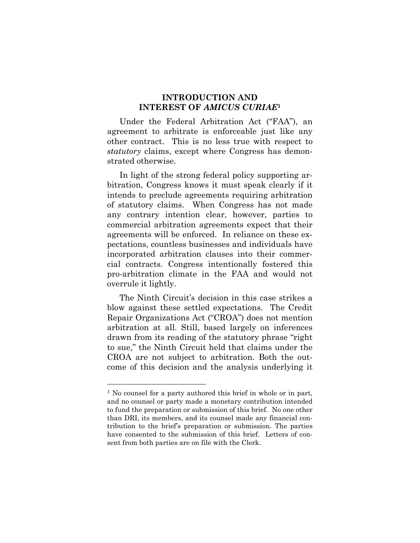## **INTRODUCTION AND INTEREST OF** *AMICUS CURIAE***<sup>1</sup>**

Under the Federal Arbitration Act ("FAA"), an agreement to arbitrate is enforceable just like any other contract. This is no less true with respect to *statutory* claims, except where Congress has demonstrated otherwise.

In light of the strong federal policy supporting arbitration, Congress knows it must speak clearly if it intends to preclude agreements requiring arbitration of statutory claims. When Congress has not made any contrary intention clear, however, parties to commercial arbitration agreements expect that their agreements will be enforced. In reliance on these expectations, countless businesses and individuals have incorporated arbitration clauses into their commercial contracts. Congress intentionally fostered this pro-arbitration climate in the FAA and would not overrule it lightly.

The Ninth Circuit's decision in this case strikes a blow against these settled expectations. The Credit Repair Organizations Act ("CROA") does not mention arbitration at all. Still, based largely on inferences drawn from its reading of the statutory phrase "right to sue," the Ninth Circuit held that claims under the CROA are not subject to arbitration. Both the outcome of this decision and the analysis underlying it

l

<sup>&</sup>lt;sup>1</sup> No counsel for a party authored this brief in whole or in part, and no counsel or party made a monetary contribution intended to fund the preparation or submission of this brief. No one other than DRI, its members, and its counsel made any financial contribution to the brief's preparation or submission. The parties have consented to the submission of this brief. Letters of consent from both parties are on file with the Clerk.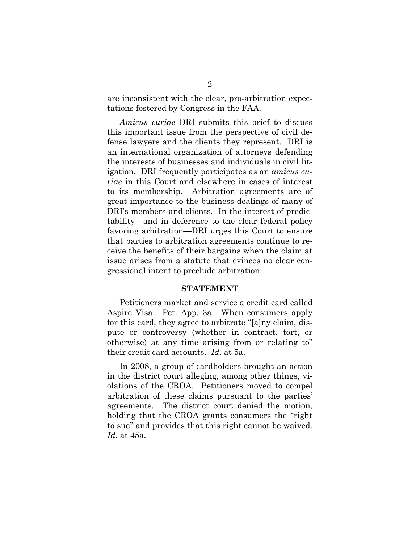are inconsistent with the clear, pro-arbitration expectations fostered by Congress in the FAA.

*Amicus curiae* DRI submits this brief to discuss this important issue from the perspective of civil defense lawyers and the clients they represent. DRI is an international organization of attorneys defending the interests of businesses and individuals in civil litigation. DRI frequently participates as an *amicus curiae* in this Court and elsewhere in cases of interest to its membership. Arbitration agreements are of great importance to the business dealings of many of DRI's members and clients. In the interest of predictability—and in deference to the clear federal policy favoring arbitration—DRI urges this Court to ensure that parties to arbitration agreements continue to receive the benefits of their bargains when the claim at issue arises from a statute that evinces no clear congressional intent to preclude arbitration.

#### **STATEMENT**

Petitioners market and service a credit card called Aspire Visa. Pet. App. 3a. When consumers apply for this card, they agree to arbitrate "[a]ny claim, dispute or controversy (whether in contract, tort, or otherwise) at any time arising from or relating to" their credit card accounts. *Id*. at 5a.

In 2008, a group of cardholders brought an action in the district court alleging, among other things, violations of the CROA. Petitioners moved to compel arbitration of these claims pursuant to the parties' agreements. The district court denied the motion, holding that the CROA grants consumers the "right to sue" and provides that this right cannot be waived. *Id.* at 45a.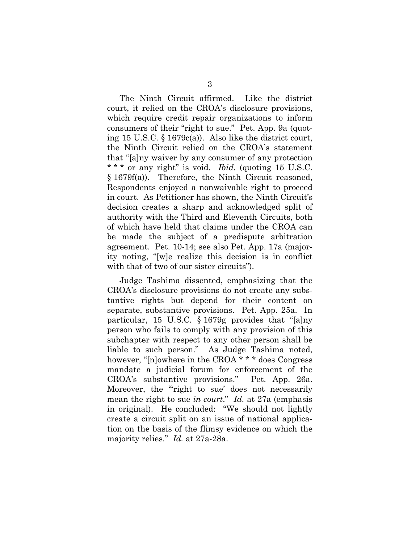The Ninth Circuit affirmed. Like the district court, it relied on the CROA's disclosure provisions, which require credit repair organizations to inform consumers of their "right to sue." Pet. App. 9a (quoting 15 U.S.C. § 1679c(a)). Also like the district court, the Ninth Circuit relied on the CROA's statement that "[a]ny waiver by any consumer of any protection \* \* \* or any right" is void. *Ibid.* (quoting 15 U.S.C. § 1679f(a)). Therefore, the Ninth Circuit reasoned, Respondents enjoyed a nonwaivable right to proceed in court. As Petitioner has shown, the Ninth Circuit's decision creates a sharp and acknowledged split of authority with the Third and Eleventh Circuits, both of which have held that claims under the CROA can be made the subject of a predispute arbitration agreement. Pet. 10-14; see also Pet. App. 17a (majority noting, "[w]e realize this decision is in conflict with that of two of our sister circuits").

Judge Tashima dissented, emphasizing that the CROA's disclosure provisions do not create any substantive rights but depend for their content on separate, substantive provisions. Pet. App. 25a. In particular, 15 U.S.C. § 1679g provides that "[a]ny person who fails to comply with any provision of this subchapter with respect to any other person shall be liable to such person." As Judge Tashima noted, however, "[n]owhere in the CROA \* \* \* does Congress mandate a judicial forum for enforcement of the CROA's substantive provisions." Pet. App. 26a. Moreover, the "right to sue' does not necessarily mean the right to sue *in court*." *Id.* at 27a (emphasis in original). He concluded: "We should not lightly create a circuit split on an issue of national application on the basis of the flimsy evidence on which the majority relies." *Id.* at 27a-28a.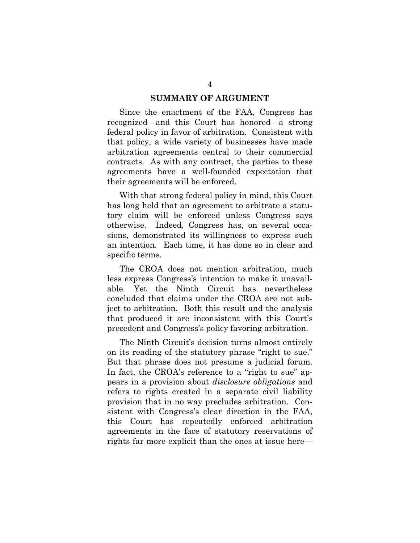#### **SUMMARY OF ARGUMENT**

Since the enactment of the FAA, Congress has recognized—and this Court has honored—a strong federal policy in favor of arbitration. Consistent with that policy, a wide variety of businesses have made arbitration agreements central to their commercial contracts. As with any contract, the parties to these agreements have a well-founded expectation that their agreements will be enforced.

With that strong federal policy in mind, this Court has long held that an agreement to arbitrate a statutory claim will be enforced unless Congress says otherwise. Indeed, Congress has, on several occasions, demonstrated its willingness to express such an intention. Each time, it has done so in clear and specific terms.

The CROA does not mention arbitration, much less express Congress's intention to make it unavailable. Yet the Ninth Circuit has nevertheless concluded that claims under the CROA are not subject to arbitration. Both this result and the analysis that produced it are inconsistent with this Court's precedent and Congress's policy favoring arbitration.

The Ninth Circuit's decision turns almost entirely on its reading of the statutory phrase "right to sue." But that phrase does not presume a judicial forum. In fact, the CROA's reference to a "right to sue" appears in a provision about *disclosure obligations* and refers to rights created in a separate civil liability provision that in no way precludes arbitration. Consistent with Congress's clear direction in the FAA, this Court has repeatedly enforced arbitration agreements in the face of statutory reservations of rights far more explicit than the ones at issue here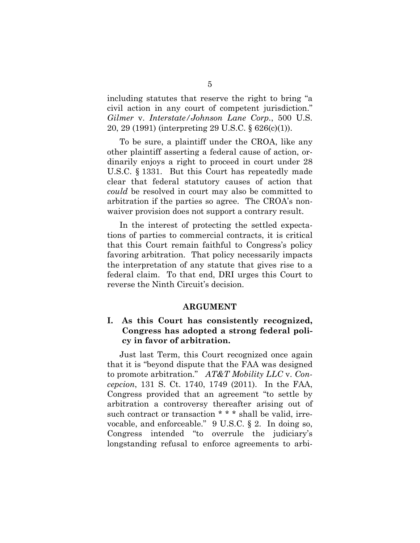including statutes that reserve the right to bring "a civil action in any court of competent jurisdiction." *Gilmer* v. *Interstate/Johnson Lane Corp.*, 500 U.S. 20, 29 (1991) (interpreting 29 U.S.C. § 626(c)(1)).

To be sure, a plaintiff under the CROA, like any other plaintiff asserting a federal cause of action, ordinarily enjoys a right to proceed in court under 28 U.S.C. § 1331. But this Court has repeatedly made clear that federal statutory causes of action that *could* be resolved in court may also be committed to arbitration if the parties so agree. The CROA's nonwaiver provision does not support a contrary result.

In the interest of protecting the settled expectations of parties to commercial contracts, it is critical that this Court remain faithful to Congress's policy favoring arbitration. That policy necessarily impacts the interpretation of any statute that gives rise to a federal claim. To that end, DRI urges this Court to reverse the Ninth Circuit's decision.

#### **ARGUMENT**

# **I. As this Court has consistently recognized, Congress has adopted a strong federal policy in favor of arbitration.**

Just last Term, this Court recognized once again that it is "beyond dispute that the FAA was designed to promote arbitration." *AT&T Mobility LLC* v. *Concepcion*, 131 S. Ct. 1740, 1749 (2011). In the FAA, Congress provided that an agreement "to settle by arbitration a controversy thereafter arising out of such contract or transaction \* \* \* shall be valid, irrevocable, and enforceable." 9 U.S.C. § 2. In doing so, Congress intended "to overrule the judiciary's longstanding refusal to enforce agreements to arbi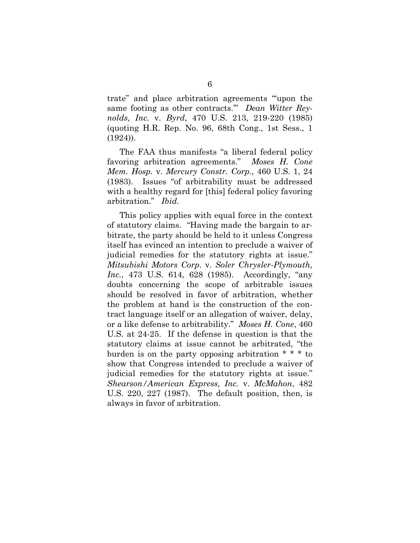trate" and place arbitration agreements "'upon the same footing as other contracts.'" *Dean Witter Reynolds, Inc.* v. *Byrd*, 470 U.S. 213, 219-220 (1985) (quoting H.R. Rep. No. 96, 68th Cong., 1st Sess., 1 (1924)).

The FAA thus manifests "a liberal federal policy favoring arbitration agreements." *Moses H. Cone Mem. Hosp.* v. *Mercury Constr. Corp.*, 460 U.S. 1, 24 (1983). Issues "of arbitrability must be addressed with a healthy regard for [this] federal policy favoring arbitration." *Ibid.*

This policy applies with equal force in the context of statutory claims. "Having made the bargain to arbitrate, the party should be held to it unless Congress itself has evinced an intention to preclude a waiver of judicial remedies for the statutory rights at issue." *Mitsubishi Motors Corp.* v. *Soler Chrysler-Plymouth, Inc.*, 473 U.S. 614, 628 (1985). Accordingly, "any doubts concerning the scope of arbitrable issues should be resolved in favor of arbitration, whether the problem at hand is the construction of the contract language itself or an allegation of waiver, delay, or a like defense to arbitrability." *Moses H. Cone*, 460 U.S. at 24-25. If the defense in question is that the statutory claims at issue cannot be arbitrated, "the burden is on the party opposing arbitration  $* * *$  to show that Congress intended to preclude a waiver of judicial remedies for the statutory rights at issue." *Shearson/American Express, Inc.* v. *McMahon*, 482 U.S. 220, 227 (1987). The default position, then, is always in favor of arbitration.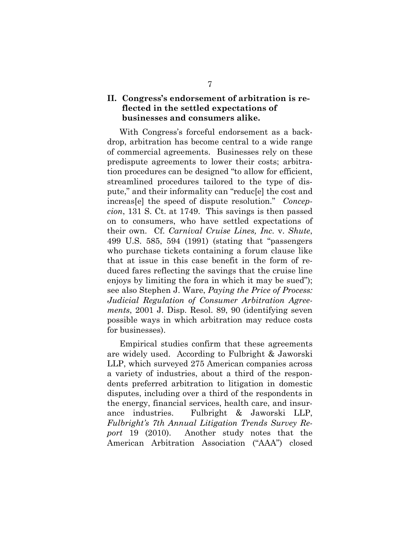# **II. Congress's endorsement of arbitration is reflected in the settled expectations of businesses and consumers alike.**

With Congress's forceful endorsement as a backdrop, arbitration has become central to a wide range of commercial agreements. Businesses rely on these predispute agreements to lower their costs; arbitration procedures can be designed "to allow for efficient, streamlined procedures tailored to the type of dispute," and their informality can "reduc[e] the cost and increas[e] the speed of dispute resolution." *Concepcion*, 131 S. Ct. at 1749. This savings is then passed on to consumers, who have settled expectations of their own. Cf. *Carnival Cruise Lines, Inc.* v. *Shute*, 499 U.S. 585, 594 (1991) (stating that "passengers who purchase tickets containing a forum clause like that at issue in this case benefit in the form of reduced fares reflecting the savings that the cruise line enjoys by limiting the fora in which it may be sued"); see also Stephen J. Ware, *Paying the Price of Process: Judicial Regulation of Consumer Arbitration Agreements*, 2001 J. Disp. Resol. 89, 90 (identifying seven possible ways in which arbitration may reduce costs for businesses).

Empirical studies confirm that these agreements are widely used. According to Fulbright & Jaworski LLP, which surveyed 275 American companies across a variety of industries, about a third of the respondents preferred arbitration to litigation in domestic disputes, including over a third of the respondents in the energy, financial services, health care, and insurance industries. Fulbright & Jaworski LLP, *Fulbright's 7th Annual Litigation Trends Survey Report* 19 (2010). Another study notes that the American Arbitration Association ("AAA") closed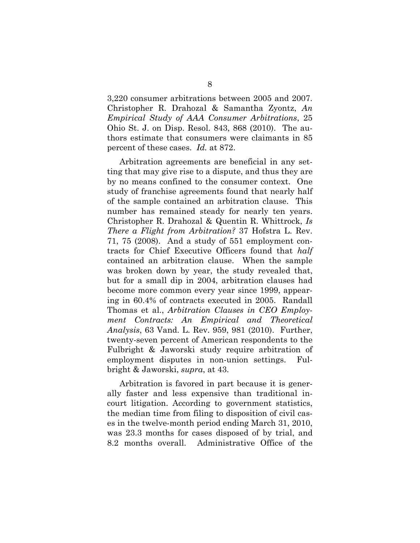3,220 consumer arbitrations between 2005 and 2007. Christopher R. Drahozal & Samantha Zyontz, *An Empirical Study of AAA Consumer Arbitrations*, 25 Ohio St. J. on Disp. Resol. 843, 868 (2010). The authors estimate that consumers were claimants in 85 percent of these cases. *Id.* at 872.

Arbitration agreements are beneficial in any setting that may give rise to a dispute, and thus they are by no means confined to the consumer context. One study of franchise agreements found that nearly half of the sample contained an arbitration clause. This number has remained steady for nearly ten years. Christopher R. Drahozal & Quentin R. Whittrock, *Is There a Flight from Arbitration?* 37 Hofstra L. Rev. 71, 75 (2008). And a study of 551 employment contracts for Chief Executive Officers found that *half* contained an arbitration clause. When the sample was broken down by year, the study revealed that, but for a small dip in 2004, arbitration clauses had become more common every year since 1999, appearing in 60.4% of contracts executed in 2005. Randall Thomas et al., *Arbitration Clauses in CEO Employment Contracts: An Empirical and Theoretical Analysis*, 63 Vand. L. Rev. 959, 981 (2010). Further, twenty-seven percent of American respondents to the Fulbright & Jaworski study require arbitration of employment disputes in non-union settings. Fulbright & Jaworski, *supra*, at 43.

Arbitration is favored in part because it is generally faster and less expensive than traditional incourt litigation. According to government statistics, the median time from filing to disposition of civil cases in the twelve-month period ending March 31, 2010, was 23.3 months for cases disposed of by trial, and 8.2 months overall. Administrative Office of the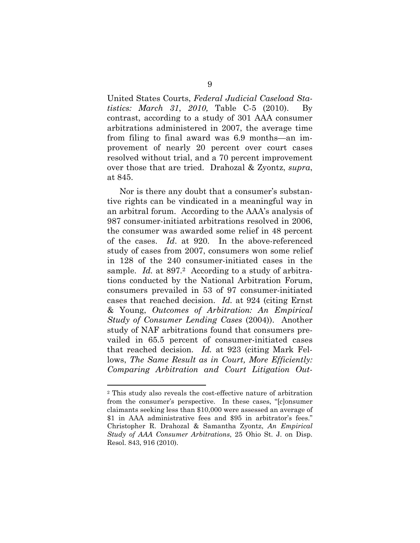United States Courts, *Federal Judicial Caseload Statistics: March 31*, *2010,* Table C-5 (2010). By contrast, according to a study of 301 AAA consumer arbitrations administered in 2007, the average time from filing to final award was 6.9 months—an improvement of nearly 20 percent over court cases resolved without trial, and a 70 percent improvement over those that are tried. Drahozal & Zyontz, *supra*, at 845.

Nor is there any doubt that a consumer's substantive rights can be vindicated in a meaningful way in an arbitral forum. According to the AAA's analysis of 987 consumer-initiated arbitrations resolved in 2006, the consumer was awarded some relief in 48 percent of the cases. *Id*. at 920. In the above-referenced study of cases from 2007, consumers won some relief in 128 of the 240 consumer-initiated cases in the sample. *Id.* at 897.<sup>2</sup> According to a study of arbitrations conducted by the National Arbitration Forum, consumers prevailed in 53 of 97 consumer-initiated cases that reached decision. *Id.* at 924 (citing Ernst & Young, *Outcomes of Arbitration: An Empirical Study of Consumer Lending Cases* (2004)). Another study of NAF arbitrations found that consumers prevailed in 65.5 percent of consumer-initiated cases that reached decision. *Id.* at 923 (citing Mark Fellows, *The Same Result as in Court, More Efficiently: Comparing Arbitration and Court Litigation Out-*

l

<sup>2</sup> This study also reveals the cost-effective nature of arbitration from the consumer's perspective. In these cases, "[c]onsumer claimants seeking less than \$10,000 were assessed an average of \$1 in AAA administrative fees and \$95 in arbitrator's fees." Christopher R. Drahozal & Samantha Zyontz, *An Empirical Study of AAA Consumer Arbitrations*, 25 Ohio St. J. on Disp. Resol. 843, 916 (2010).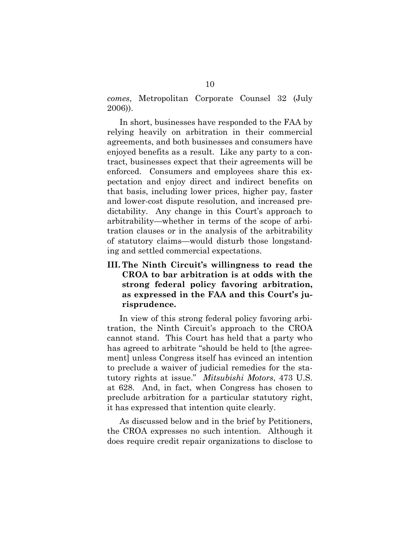*comes*, Metropolitan Corporate Counsel 32 (July 2006)).

In short, businesses have responded to the FAA by relying heavily on arbitration in their commercial agreements, and both businesses and consumers have enjoyed benefits as a result. Like any party to a contract, businesses expect that their agreements will be enforced. Consumers and employees share this expectation and enjoy direct and indirect benefits on that basis, including lower prices, higher pay, faster and lower-cost dispute resolution, and increased predictability. Any change in this Court's approach to arbitrability—whether in terms of the scope of arbitration clauses or in the analysis of the arbitrability of statutory claims—would disturb those longstanding and settled commercial expectations.

**III. The Ninth Circuit's willingness to read the CROA to bar arbitration is at odds with the strong federal policy favoring arbitration, as expressed in the FAA and this Court's jurisprudence.** 

In view of this strong federal policy favoring arbitration, the Ninth Circuit's approach to the CROA cannot stand. This Court has held that a party who has agreed to arbitrate "should be held to [the agreement] unless Congress itself has evinced an intention to preclude a waiver of judicial remedies for the statutory rights at issue." *Mitsubishi Motors*, 473 U.S. at 628. And, in fact, when Congress has chosen to preclude arbitration for a particular statutory right, it has expressed that intention quite clearly.

As discussed below and in the brief by Petitioners, the CROA expresses no such intention. Although it does require credit repair organizations to disclose to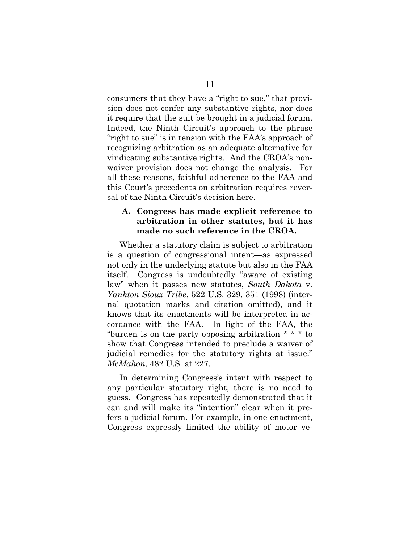consumers that they have a "right to sue," that provision does not confer any substantive rights, nor does it require that the suit be brought in a judicial forum. Indeed, the Ninth Circuit's approach to the phrase "right to sue" is in tension with the FAA's approach of recognizing arbitration as an adequate alternative for vindicating substantive rights. And the CROA's nonwaiver provision does not change the analysis. For all these reasons, faithful adherence to the FAA and this Court's precedents on arbitration requires reversal of the Ninth Circuit's decision here.

## **A. Congress has made explicit reference to arbitration in other statutes, but it has made no such reference in the CROA.**

Whether a statutory claim is subject to arbitration is a question of congressional intent—as expressed not only in the underlying statute but also in the FAA itself. Congress is undoubtedly "aware of existing law" when it passes new statutes, *South Dakota* v. *Yankton Sioux Tribe*, 522 U.S. 329, 351 (1998) (internal quotation marks and citation omitted), and it knows that its enactments will be interpreted in accordance with the FAA. In light of the FAA, the "burden is on the party opposing arbitration \* \* \* to show that Congress intended to preclude a waiver of judicial remedies for the statutory rights at issue." *McMahon*, 482 U.S. at 227.

In determining Congress's intent with respect to any particular statutory right, there is no need to guess. Congress has repeatedly demonstrated that it can and will make its "intention" clear when it prefers a judicial forum. For example, in one enactment, Congress expressly limited the ability of motor ve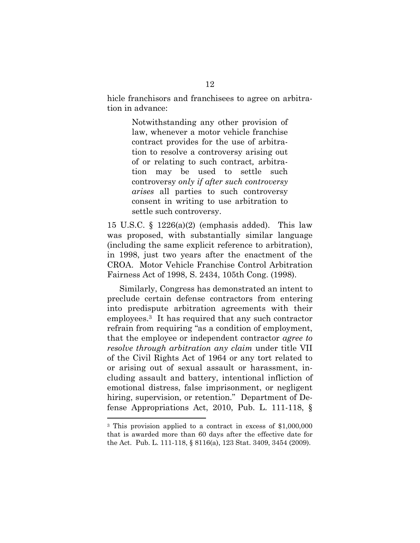hicle franchisors and franchisees to agree on arbitration in advance:

> Notwithstanding any other provision of law, whenever a motor vehicle franchise contract provides for the use of arbitration to resolve a controversy arising out of or relating to such contract*,* arbitration may be used to settle such controversy *only if after such controversy arises* all parties to such controversy consent in writing to use arbitration to settle such controversy.

15 U.S.C.  $\S$  1226(a)(2) (emphasis added). This law was proposed, with substantially similar language (including the same explicit reference to arbitration), in 1998, just two years after the enactment of the CROA. Motor Vehicle Franchise Control Arbitration Fairness Act of 1998, S. 2434, 105th Cong. (1998).

Similarly, Congress has demonstrated an intent to preclude certain defense contractors from entering into predispute arbitration agreements with their employees.3 It has required that any such contractor refrain from requiring "as a condition of employment, that the employee or independent contractor *agree to resolve through arbitration any claim* under title VII of the Civil Rights Act of 1964 or any tort related to or arising out of sexual assault or harassment, including assault and battery, intentional infliction of emotional distress, false imprisonment, or negligent hiring, supervision, or retention." Department of Defense Appropriations Act, 2010, Pub. L. 111-118, §

l

<sup>3</sup> This provision applied to a contract in excess of \$1,000,000 that is awarded more than 60 days after the effective date for the Act. Pub. L. 111-118, § 8116(a), 123 Stat. 3409, 3454 (2009).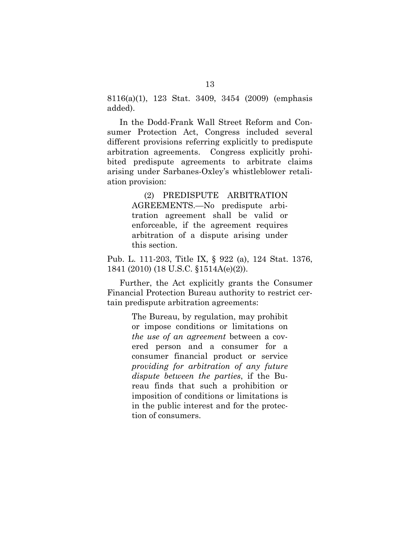8116(a)(1), 123 Stat. 3409, 3454 (2009) (emphasis added).

In the Dodd-Frank Wall Street Reform and Consumer Protection Act, Congress included several different provisions referring explicitly to predispute arbitration agreements. Congress explicitly prohibited predispute agreements to arbitrate claims arising under Sarbanes-Oxley's whistleblower retaliation provision:

> (2) PREDISPUTE ARBITRATION AGREEMENTS.—No predispute arbitration agreement shall be valid or enforceable, if the agreement requires arbitration of a dispute arising under this section.

Pub. L. 111-203, Title IX, § 922 (a), 124 Stat. 1376, 1841 (2010) (18 U.S.C. §1514A(e)(2)).

Further, the Act explicitly grants the Consumer Financial Protection Bureau authority to restrict certain predispute arbitration agreements:

> The Bureau, by regulation, may prohibit or impose conditions or limitations on *the use of an agreement* between a covered person and a consumer for a consumer financial product or service *providing for arbitration of any future dispute between the parties*, if the Bureau finds that such a prohibition or imposition of conditions or limitations is in the public interest and for the protection of consumers.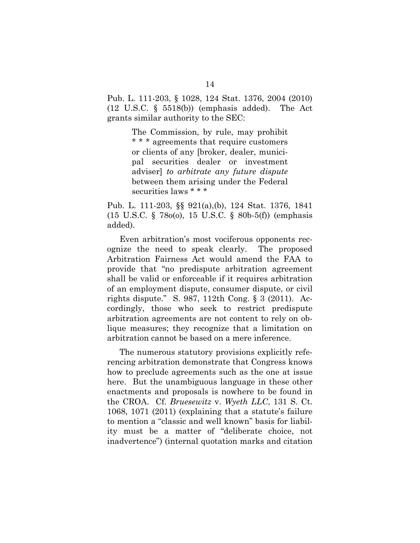Pub. L. 111-203, § 1028, 124 Stat. 1376, 2004 (2010) (12 U.S.C. § 5518(b)) (emphasis added). The Act grants similar authority to the SEC:

> The Commission, by rule, may prohibit \* \* \* agreements that require customers or clients of any [broker, dealer, municipal securities dealer or investment adviser] *to arbitrate any future dispute*  between them arising under the Federal securities laws \* \* \*

Pub. L. 111-203, §§ 921(a),(b), 124 Stat. 1376, 1841 (15 U.S.C. § 78o(o), 15 U.S.C. § 80b-5(f)) (emphasis added).

Even arbitration's most vociferous opponents recognize the need to speak clearly. The proposed Arbitration Fairness Act would amend the FAA to provide that "no predispute arbitration agreement shall be valid or enforceable if it requires arbitration of an employment dispute, consumer dispute, or civil rights dispute." S. 987, 112th Cong. § 3 (2011). Accordingly, those who seek to restrict predispute arbitration agreements are not content to rely on oblique measures; they recognize that a limitation on arbitration cannot be based on a mere inference.

The numerous statutory provisions explicitly referencing arbitration demonstrate that Congress knows how to preclude agreements such as the one at issue here. But the unambiguous language in these other enactments and proposals is nowhere to be found in the CROA. Cf. *Bruesewitz* v. *Wyeth LLC*, 131 S. Ct. 1068, 1071 (2011) (explaining that a statute's failure to mention a "classic and well known" basis for liability must be a matter of "deliberate choice, not inadvertence") (internal quotation marks and citation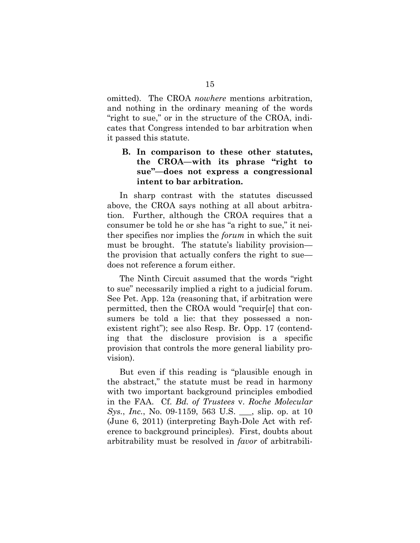omitted). The CROA *nowhere* mentions arbitration, and nothing in the ordinary meaning of the words "right to sue," or in the structure of the CROA, indicates that Congress intended to bar arbitration when it passed this statute.

## **B. In comparison to these other statutes, the CROA—with its phrase "right to sue"—does not express a congressional intent to bar arbitration.**

In sharp contrast with the statutes discussed above, the CROA says nothing at all about arbitration. Further, although the CROA requires that a consumer be told he or she has "a right to sue," it neither specifies nor implies the *forum* in which the suit must be brought. The statute's liability provision the provision that actually confers the right to sue does not reference a forum either.

The Ninth Circuit assumed that the words "right to sue" necessarily implied a right to a judicial forum. See Pet. App. 12a (reasoning that, if arbitration were permitted, then the CROA would "requir[e] that consumers be told a lie: that they possessed a nonexistent right"); see also Resp. Br. Opp. 17 (contending that the disclosure provision is a specific provision that controls the more general liability provision).

But even if this reading is "plausible enough in the abstract," the statute must be read in harmony with two important background principles embodied in the FAA. Cf. *Bd. of Trustees* v. *Roche Molecular Sys.*, *Inc.*, No. 09-1159, 563 U.S. \_\_\_, slip. op. at 10 (June 6, 2011) (interpreting Bayh-Dole Act with reference to background principles). First, doubts about arbitrability must be resolved in *favor* of arbitrabili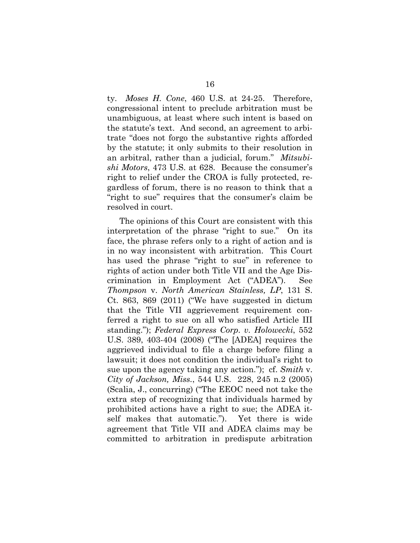ty. *Moses H. Cone*, 460 U.S. at 24-25. Therefore, congressional intent to preclude arbitration must be unambiguous, at least where such intent is based on the statute's text. And second, an agreement to arbitrate "does not forgo the substantive rights afforded by the statute; it only submits to their resolution in an arbitral, rather than a judicial, forum." *Mitsubishi Motors*, 473 U.S. at 628. Because the consumer's right to relief under the CROA is fully protected, regardless of forum, there is no reason to think that a "right to sue" requires that the consumer's claim be resolved in court.

The opinions of this Court are consistent with this interpretation of the phrase "right to sue." On its face, the phrase refers only to a right of action and is in no way inconsistent with arbitration. This Court has used the phrase "right to sue" in reference to rights of action under both Title VII and the Age Discrimination in Employment Act ("ADEA"). See *Thompson* v. *North American Stainless, LP*, 131 S. Ct. 863, 869 (2011) ("We have suggested in dictum that the Title VII aggrievement requirement conferred a right to sue on all who satisfied Article III standing."); *Federal Express Corp. v. Holowecki*, 552 U.S. 389, 403-404 (2008) ("The [ADEA] requires the aggrieved individual to file a charge before filing a lawsuit; it does not condition the individual's right to sue upon the agency taking any action."); cf. *Smith* v. *City of Jackson, Miss.*, 544 U.S. 228, 245 n.2 (2005) (Scalia, J., concurring) ("The EEOC need not take the extra step of recognizing that individuals harmed by prohibited actions have a right to sue; the ADEA itself makes that automatic."). Yet there is wide agreement that Title VII and ADEA claims may be committed to arbitration in predispute arbitration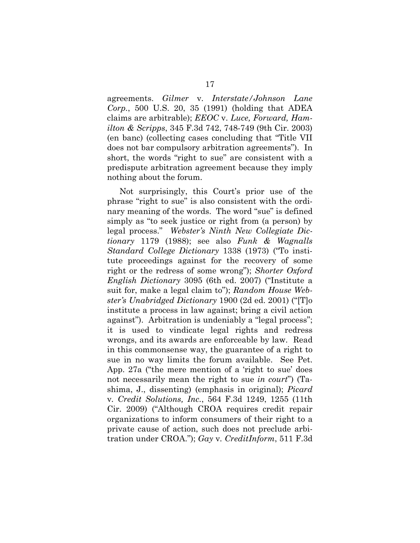agreements. *Gilmer* v. *Interstate/Johnson Lane Corp.*, 500 U.S. 20, 35 (1991) (holding that ADEA claims are arbitrable); *EEOC* v. *Luce, Forward, Hamilton & Scripps*, 345 F.3d 742, 748-749 (9th Cir. 2003) (en banc) (collecting cases concluding that "Title VII does not bar compulsory arbitration agreements"). In short, the words "right to sue" are consistent with a predispute arbitration agreement because they imply nothing about the forum.

Not surprisingly, this Court's prior use of the phrase "right to sue" is also consistent with the ordinary meaning of the words. The word "sue" is defined simply as "to seek justice or right from (a person) by legal process." *Webster's Ninth New Collegiate Dictionary* 1179 (1988); see also *Funk & Wagnalls Standard College Dictionary* 1338 (1973) ("To institute proceedings against for the recovery of some right or the redress of some wrong"); *Shorter Oxford English Dictionary* 3095 (6th ed. 2007) ("Institute a suit for, make a legal claim to"); *Random House Webster's Unabridged Dictionary* 1900 (2d ed. 2001) ("[T]o institute a process in law against; bring a civil action against"). Arbitration is undeniably a "legal process"; it is used to vindicate legal rights and redress wrongs, and its awards are enforceable by law. Read in this commonsense way, the guarantee of a right to sue in no way limits the forum available. See Pet. App. 27a ("the mere mention of a 'right to sue' does not necessarily mean the right to sue *in court*") (Tashima, J., dissenting) (emphasis in original); *Picard*  v*. Credit Solutions, Inc.*, 564 F.3d 1249, 1255 (11th Cir. 2009) ("Although CROA requires credit repair organizations to inform consumers of their right to a private cause of action, such does not preclude arbitration under CROA."); *Gay* v*. CreditInform*, 511 F.3d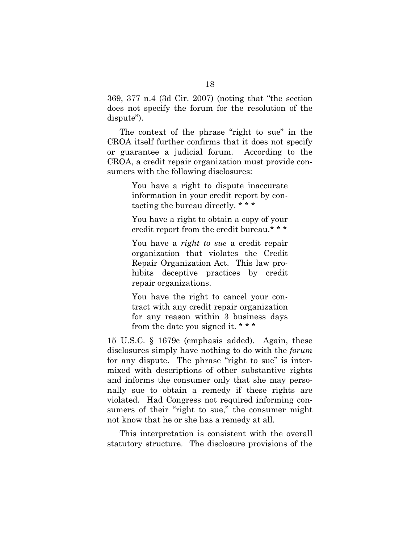369, 377 n.4 (3d Cir. 2007) (noting that "the section does not specify the forum for the resolution of the dispute").

The context of the phrase "right to sue" in the CROA itself further confirms that it does not specify or guarantee a judicial forum. According to the CROA, a credit repair organization must provide consumers with the following disclosures:

> You have a right to dispute inaccurate information in your credit report by contacting the bureau directly. \* \* \*

> You have a right to obtain a copy of your credit report from the credit bureau.\* \* \*

> You have a *right to sue* a credit repair organization that violates the Credit Repair Organization Act. This law prohibits deceptive practices by credit repair organizations.

> You have the right to cancel your contract with any credit repair organization for any reason within 3 business days from the date you signed it. \* \* \*

15 U.S.C. § 1679c (emphasis added). Again, these disclosures simply have nothing to do with the *forum* for any dispute. The phrase "right to sue" is intermixed with descriptions of other substantive rights and informs the consumer only that she may personally sue to obtain a remedy if these rights are violated. Had Congress not required informing consumers of their "right to sue," the consumer might not know that he or she has a remedy at all.

This interpretation is consistent with the overall statutory structure. The disclosure provisions of the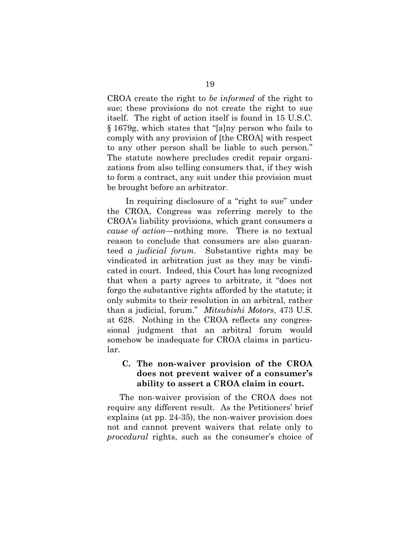CROA create the right to *be informed* of the right to sue; these provisions do not create the right to sue itself. The right of action itself is found in 15 U.S.C. § 1679g, which states that "[a]ny person who fails to comply with any provision of [the CROA] with respect to any other person shall be liable to such person." The statute nowhere precludes credit repair organizations from also telling consumers that, if they wish to form a contract, any suit under this provision must be brought before an arbitrator.

In requiring disclosure of a "right to sue" under the CROA, Congress was referring merely to the CROA's liability provisions, which grant consumers *a cause of action*—nothing more. There is no textual reason to conclude that consumers are also guaranteed *a judicial forum*. Substantive rights may be vindicated in arbitration just as they may be vindicated in court. Indeed, this Court has long recognized that when a party agrees to arbitrate, it "does not forgo the substantive rights afforded by the statute; it only submits to their resolution in an arbitral, rather than a judicial, forum." *Mitsubishi Motors*, 473 U.S. at 628. Nothing in the CROA reflects any congressional judgment that an arbitral forum would somehow be inadequate for CROA claims in particular.

## **C. The non-waiver provision of the CROA does not prevent waiver of a consumer's ability to assert a CROA claim in court.**

The non-waiver provision of the CROA does not require any different result. As the Petitioners' brief explains (at pp. 24-35), the non-waiver provision does not and cannot prevent waivers that relate only to *procedural* rights, such as the consumer's choice of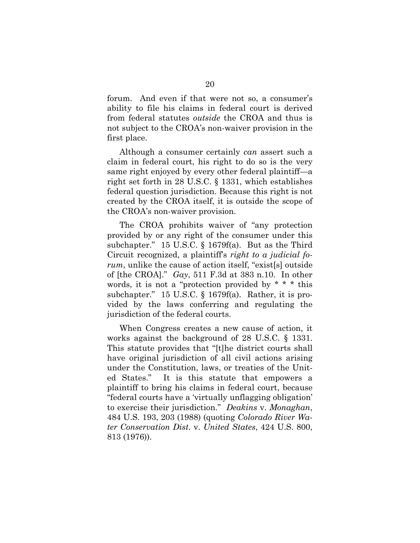forum. And even if that were not so, a consumer's ability to file his claims in federal court is derived from federal statutes *outside* the CROA and thus is not subject to the CROA's non-waiver provision in the first place.

Although a consumer certainly *can* assert such a claim in federal court, his right to do so is the very same right enjoyed by every other federal plaintiff—a right set forth in 28 U.S.C. § 1331, which establishes federal question jurisdiction. Because this right is not created by the CROA itself, it is outside the scope of the CROA's non-waiver provision.

The CROA prohibits waiver of "any protection provided by or any right of the consumer under this subchapter." 15 U.S.C. § 1679f(a). But as the Third Circuit recognized, a plaintiff's *right to a judicial forum*, unlike the cause of action itself, "exist[s] outside of [the CROA]." *Gay*, 511 F.3d at 383 n.10. In other words, it is not a "protection provided by  $* * *$  this subchapter." 15 U.S.C. § 1679f(a). Rather, it is provided by the laws conferring and regulating the jurisdiction of the federal courts.

When Congress creates a new cause of action, it works against the background of 28 U.S.C. § 1331. This statute provides that "[t]he district courts shall have original jurisdiction of all civil actions arising under the Constitution, laws, or treaties of the United States." It is this statute that empowers a plaintiff to bring his claims in federal court, because "federal courts have a 'virtually unflagging obligation' to exercise their jurisdiction." *Deakins* v. *Monaghan*, 484 U.S. 193, 203 (1988) (quoting *Colorado River Water Conservation Dist.* v. *United States*, 424 U.S. 800, 813 (1976)).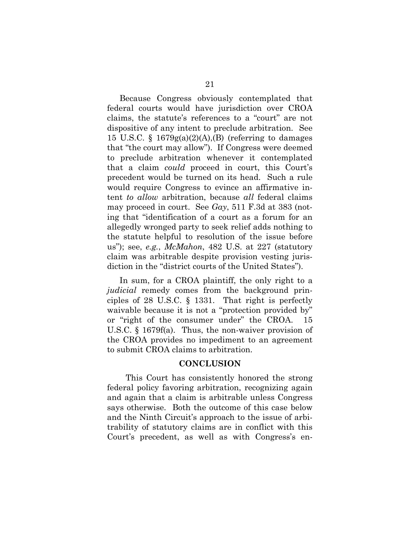Because Congress obviously contemplated that federal courts would have jurisdiction over CROA claims, the statute's references to a "court" are not dispositive of any intent to preclude arbitration. See 15 U.S.C. §  $1679g(a)(2)(A)$ , (B) (referring to damages that "the court may allow"). If Congress were deemed to preclude arbitration whenever it contemplated that a claim *could* proceed in court, this Court's precedent would be turned on its head. Such a rule would require Congress to evince an affirmative intent *to allow* arbitration, because *all* federal claims may proceed in court. See *Gay*, 511 F.3d at 383 (noting that "identification of a court as a forum for an allegedly wronged party to seek relief adds nothing to the statute helpful to resolution of the issue before us"); see, *e.g.*, *McMahon*, 482 U.S. at 227 (statutory claim was arbitrable despite provision vesting jurisdiction in the "district courts of the United States").

In sum, for a CROA plaintiff, the only right to a *judicial* remedy comes from the background principles of 28 U.S.C. § 1331. That right is perfectly waivable because it is not a "protection provided by" or "right of the consumer under" the CROA. U.S.C. § 1679f(a). Thus, the non-waiver provision of the CROA provides no impediment to an agreement to submit CROA claims to arbitration.

#### **CONCLUSION**

This Court has consistently honored the strong federal policy favoring arbitration, recognizing again and again that a claim is arbitrable unless Congress says otherwise. Both the outcome of this case below and the Ninth Circuit's approach to the issue of arbitrability of statutory claims are in conflict with this Court's precedent, as well as with Congress's en